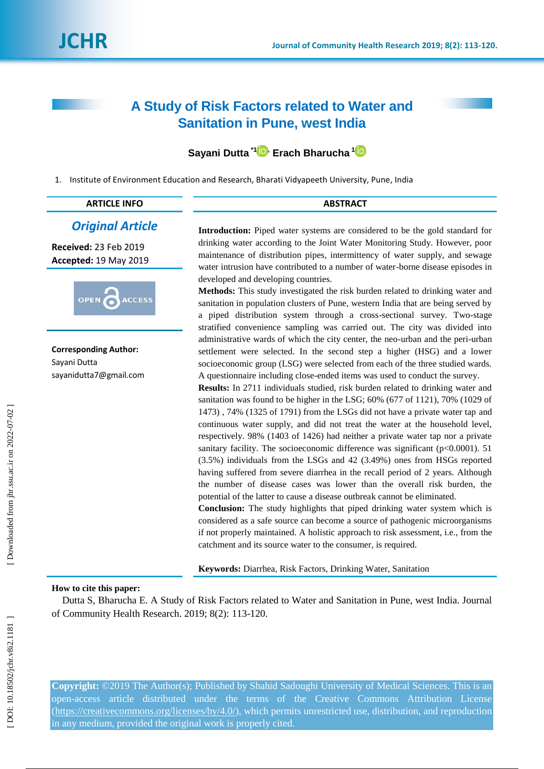*Original Article*

**ACCESS** 

**Received:**  2 3 Feb 2019 **Accepted:** 19 May 2019

**Corresponding Author:**

OPEN

sayanidutta7@gmail.com

Sayani Dutta

# **A Study of Risk Factors related to Water and Sanitation in Pune, west India**

# **Sayani Dutta \* [1](https://orcid.org/0000-0002-6273-7484) , Erach Bharucha [1](https://orcid.org/0000-0003-1035-4585)**

1. Institute of Environment Education and Research, Bharati Vidyapeeth University, Pune, India

| $\overline{1}$<br>'N<br><u>ім</u> | 0.070887 |
|-----------------------------------|----------|
|                                   |          |

**Introduction:** Piped water systems are considered to be the gold standard for drinking water according to the Joint Water Monitoring Study. However, poor maintenance of distribution pipes, intermittency of water supply, and sewage water intrusion have contributed to a number of water -borne disease episodes in developed and developing countries.

**Methods:** This study investigated the risk burden related to drinking water and sanitation in population clusters of Pune, western India that are being served by a piped distribution system through a cross -sectional survey. Two -stage stratified convenience sampling was carried out. The city was divided into administrative wards of which the city center, the neo-urban and the peri-urban settlement were selected. In the second step a higher (HSG) and a lower socioeconomic group (LSG) were selected from each of the three studied wards. A questionnaire including close -ended items was used to conduct the survey.

**Results:** In 2711 individuals studied, risk burden related to drinking water and sanitation was found to be higher in the LSG; 60% (677 of 1121), 70% (1029 of 1473) , 74% (1325 of 1791) from the LSGs did not have a private water tap and continuous water supply, and did not treat the water at the household level, respectively. 98% (1403 of 1426) had neither a private water tap nor a private sanitary facility. The socioeconomic difference was significant ( $p<0.0001$ ). 51 (3.5%) individuals from the LSGs and 42 (3.49%) ones from HSGs reported having suffered from severe diarrhea in the recall period of 2 years. Although the number of disease cases was lower than the overall risk burden, the potential of the latter to cause a disease outbreak cannot be eliminated.

**Conclusion:** The study highlights that piped drinking water system which is considered as a safe source can become a source of pathogenic microorganisms if not properly maintained. A holistic approach to risk assessment, i.e., from the catchment and its source water to the consumer, is required.

**Keywords:** Diarrhea, Risk Factors, Drinking Water, Sanitation

# **How to cite this paper:**

Dutta S, Bharucha E. A Study of Risk Factors related to Water and Sanitation in Pune, west India. Journal of Community Health Research. 2019; 8(2): 113 -120 .

**Copyright:** ©2019 The Author(s); Published by Shahid Sadoughi University of Medical Sciences. This is an open -access article distributed under the terms of the Creative Commons Attribution License [\(https://creativecommons.org/licenses/by/4.0/\)](https://creativecommons.org/licenses/by/4.0/), which permits unrestricted use, distribution, and reproduction in any medium, provided the original work is properly cited.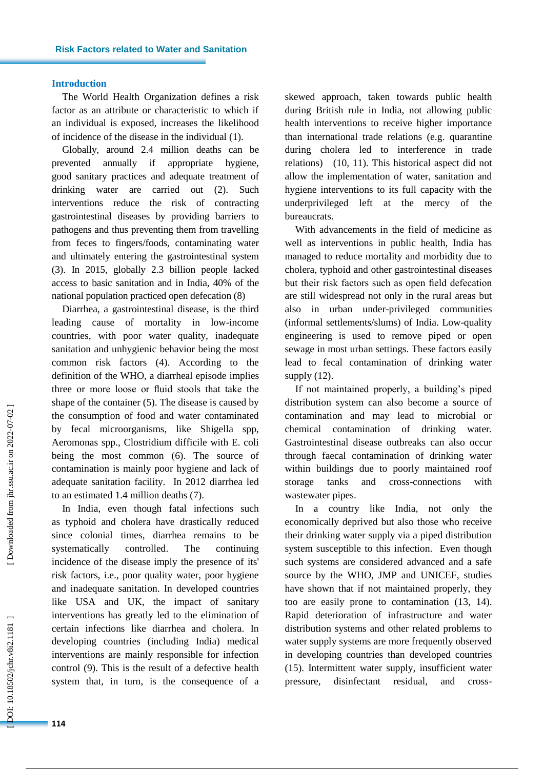# **Introduction**

The World Health Organization defines a risk factor as an attribute or characteristic to which if an individual is exposed, increases the likelihood of incidence of the disease in the individual ( 1).

Globally, around 2.4 million deaths can be prevented annually if appropriate hygiene, good sanitary practices and adequate treatment of drinking water are carried out (2). 2). Such interventions reduce the risk of contracting gastrointestinal diseases by providing barriers to pathogens and thus preventing them from travelling from feces to fingers/foods, contaminating water and ultimately entering the gastrointestinal system (3). In 2015, globally 2.3 billion people lacked access to basic sanitation and in India, 40% of the national population practiced open defecation ( 8 )

Diarrhea, a gastrointestinal disease, is the third leading cause of mortality in low -income countries, with poor water quality, inadequate sanitation and unhygienic behavior being the most common risk factors ( 4). According to the definition of the WHO, a diarrheal episode implies three or more loose or fluid stools that take the shape of the container ( 5). The disease is caused by the consumption of food and water contaminated by fecal microorganisms, like Shigella spp, Aeromonas spp., Clostridium difficile with E. coli being the most common ( 6). The source of contamination is mainly poor hygiene and lack of adequate sanitation facility. In 2012 diarrhea led to an estimated 1.4 million deaths ( 7).

In India, even though fatal infections such as typhoid and cholera have drastically reduced since colonial times, diarrhea remains to be systematically controlled. The continuing incidence of the disease imply the presence of its' risk factors, i.e., poor quality water, poor hygiene and inadequate sanitation. In developed countries like USA and UK, the impact of sanitary interventions has greatly led to the elimination of certain infections like diarrhea and cholera. In developing countries (including India) medical interventions are mainly responsible for infection control ( 9). This is the result of a defective health system that, in turn, is the consequence of a

skewed approach, taken towards public health during British rule in India, not allowing public health interventions to receive higher importance than international trade relations (e.g. quarantine during cholera led to interference in trade relations) (10, 11). This historical aspect did not allow the implementation of water, sanitation and hygiene interventions to its full capacity with the underprivileged left at the mercy of the bureaucrats.

With advancements in the field of medicine as well as interventions in public health, India has managed to reduce mortality and morbidity due to cholera, typhoid and other gastrointestinal diseases but their risk factors such as open field defecation are still widespread not only in the rural areas but also in urban under -privileged communities (informal settlements/slums) of India. Low -quality engineering is used to remove piped or open sewage in most urban settings. These factors easily lead to fecal contamination of drinking water supply (1 2).

If not maintained properly, a building's piped distribution system can also become a source of contamination and may lead to microbial or chemical contamination of drinking water. Gastrointestinal disease outbreaks can also occur through faecal contamination of drinking water within buildings due to poorly maintained roof storage tanks and cross -connections with wastewater pipes.

In a country like India, not only the economically deprived but also those who receive their drinking water supply via a piped distribution system susceptible to this infection. Even though such systems are considered advanced and a safe source by the WHO, JMP and UNICEF, studies have shown that if not maintained properly, they too are easily prone to contamination (1 3, 1 4). Rapid deterioration of infrastructure and water distribution systems and other related problems to water supply systems are more frequently observed in developing countries than developed countries (15). Intermittent water supply, insufficient water pressure, disinfectant residual, and cross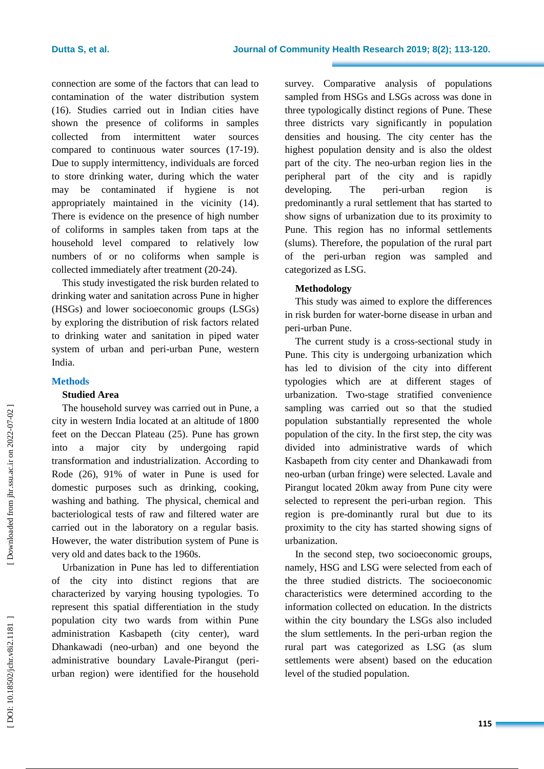connection are some of the factors that can lead to contamination of the water distribution system (1 6). Studies carried out in Indian cities have shown the presence of coliforms in samples collected from intermittent water sources compared to continuous water sources (17-19). Due to supply intermittency, individuals are forced to store drinking water, during which the water may be contaminated if hygiene is not appropriately maintained in the vicinity ( 1 4). There is evidence on the presence of high number of coliforms in samples taken from taps at the household level compared to relatively low numbers of or no coliforms when sample is collected immediately after treatment (20-24).

This study investigated the risk burden related to drinking water and sanitation across Pune in higher (HSGs) and lower socioeconomic groups (LSGs) by exploring the distribution of risk factors related to drinking water and sanitation in piped water system of urban and peri -urban Pune, western India.

# **Methods**

# **Studied Area**

The household survey was carried out in Pune, a city in western India located at an altitude of 1800 feet on the Deccan Plateau ( 2 5). Pune has grown into a major city by undergoing rapid transformation and industrialization. According to Rode (2 6), 91% of water in Pune is used for domestic purposes such as drinking, cooking, washing and bathing. The physical, chemical and bacteriological tests of raw and filtered water are carried out in the laboratory on a regular basis. However, the water distribution system of Pune is very old and dates back to the 1960s.

Urbanization in Pune has led to differentiation of the city into distinct regions that are characterized by varying housing typologies. To represent this spatial differentiation in the study population city two wards from within Pune administration Kasbapeth (city center), ward Dhankawadi (neo -urban) and one beyond the administrative boundary Lavale -Pirangut (peri urban region) were identified for the household

survey. Comparative analysis of populations sampled from HSGs and LSGs across was done in three typologically distinct regions of Pune. These three districts vary significantly in population densities and housing. The city center has the highest population density and is also the oldest part of the city. The neo -urban region lies in the peripheral part of the city and is rapidly developing. The peri-urban region is predominantly a rural settlement that has started to show signs of urbanization due to its proximity to Pune. This region has no informal settlements (slums). Therefore, the population of the rural part of the peri -urban region was sampled and categorized as LSG.

# **Methodology**

This study was aimed to explore the differences in risk burden for water -borne disease in urban and peri -urban Pune.

The current study is a cross -sectional study in Pune. This city is undergoing urbanization which has led to division of the city into different typologies which are at different stages of urbanization. Two -stage stratified convenience sampling was carried out so that the studied population substantially represented the whole population of the city. In the first step, the city was divided into administrative wards of which Kasbapeth from city center and Dhankawadi from neo -urban (urban fringe) were selected. Lavale and Pirangut located 20km away from Pune city were selected to represent the peri -urban region. This region is pre -dominantly rural but due to its proximity to the city has started showing signs of urbanization .

In the second step, two socioeconomic groups, namely, HSG and LSG were selected from each of the three studied districts. The socioeconomic characteristics were determined according to the information collected on education. In the districts within the city boundary the LSGs also included the slum settlements. In the peri -urban region the rural part was categorized as LSG (as slum settlements were absent) based on the education level of the studied population.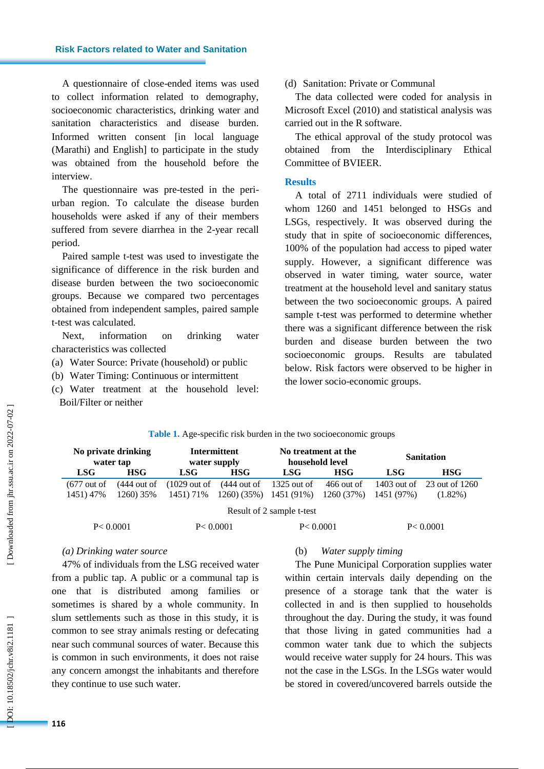# **Risk Factors related to Water and Sanitation**

A questionnaire of close -ended items was used to collect information related to demography, socioeconomic characteristics, drinking water and sanitation characteristics and disease burden. Informed written consent *[in local language*] (Marathi) and English] to participate in the study was obtained from the household before the interview.

The questionnaire was pre -tested in the peri urban region. To calculate the disease burden households were asked if any of their members suffered from severe diarrhea in the 2 -year recall period.

Paired sample t -test was used to investigate the significance of difference in the risk burden and disease burden between the two socioeconomic groups. Because we compared two percentages obtained from independent samples, paired sample t-test was calculated.

Next, information on drinking water characteristics was collected

- (a) Water Source: Private (household) or public
- (b) Water Timing: Continuous or intermittent
- (c) Water treatment at the household level: Boil/Filter or neither

# (d) Sanitation: Private or Communal

The data collected were coded for analysis in Microsoft Excel (2010) and statistical analysis was carried out in the R software.

The ethical approval of the study protocol was obtained from the Interdisciplinary Ethical Committee of BVIEER.

#### **Results**

A total of 2711 individuals were studied of whom 1260 and 1451 belonged to HSGs and LSGs, respectively. It was observed during the study that in spite of socioeconomic differences, 100% of the population had access to piped water supply. However, a significant difference was observed in water timing, water source, water treatment at the household level and sanitary status between the two socioeconomic groups. A paired sample t -test was performed to determine whether there was a significant difference between the risk burden and disease burden between the two socioeconomic groups. Results are tabulated below. Risk factors were observed to be higher in the lower socio -economic groups .

| No private drinking<br>water tap    |                            | Intermittent<br>water supply         |                            | No treatment at the<br>household level |                            | <b>Sanitation</b> |                                          |  |  |
|-------------------------------------|----------------------------|--------------------------------------|----------------------------|----------------------------------------|----------------------------|-------------------|------------------------------------------|--|--|
| <b>LSG</b>                          | <b>HSG</b>                 | LSG-                                 | <b>HSG</b>                 | LSG-                                   | <b>HSG</b>                 | LSG-              | <b>HSG</b>                               |  |  |
| $(677 \text{ out of})$<br>1451) 47% | $(444$ out of<br>1260) 35% | $(1029 \text{ out of})$<br>1451) 71% | $(444$ out of<br>1260(35%) | 1325 out of<br>1451 (91%)              | $466$ out of<br>1260 (37%) | 1451 (97%)        | 1403 out of 23 out of 1260<br>$(1.82\%)$ |  |  |
| Result of 2 sample t-test           |                            |                                      |                            |                                        |                            |                   |                                          |  |  |
| P < 0.0001                          |                            | P < 0.0001                           |                            | P < 0.0001                             |                            | P < 0.0001        |                                          |  |  |

#### Table 1. Age-specific risk burden in the two socioeconomic groups

#### *(a) Drinking water source*

47% of individuals from the LSG received water from a public tap. A public or a communal tap is one that is distributed among families or sometimes is shared by a whole community. In slum settlements such as those in this study, it is common to see stray animals resting or defecating near such communal sources of water. Because this is common in such environments, it does not raise any concern amongst the inhabitants and therefore they continue to use such water.

# (b) *Water supply timing*

The Pune Municipal Corporation supplies water within certain intervals daily depending on the presence of a storage tank that the water is collected in and is then supplied to households throughout the day. During the study, it was found that those living in gated communities had a common water tank due to which the subjects would receive water supply for 24 hours. This was not the case in the LSGs. In the LSGs water would be stored in covered/uncovered barrels outside the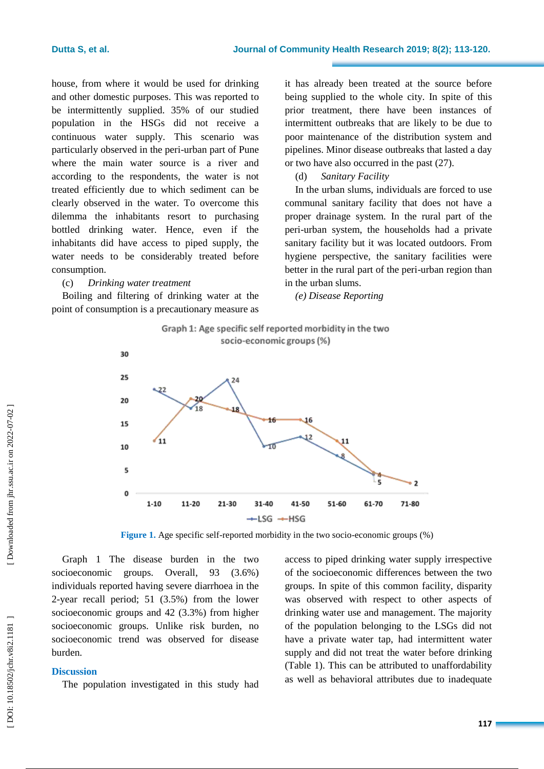house, from where it would be used for drinking and other domestic purposes. This was reported to be intermittently supplied. 35% of our studied population in the HSGs did not receive a continuous water supply. This scenario was particularly observed in the peri -urban part of Pune where the main water source is a river and according to the respondents, the water is not treated efficiently due to which sediment can be clearly observed in the water. To overcome this dilemma the inhabitants resort to purchasing bottled drinking water. Hence, even if the inhabitants did have access to piped supply, the water needs to be considerably treated before consumption.

### (c) *Drinking water treatment*

Boiling and filtering of drinking water at the point of consumption is a precautionary measure as it has already been treated at the source before being supplied to the whole city. In spite of this prior treatment, there have been instances of intermittent outbreaks that are likely to be due to poor maintenance of the distribution system and pipelines. Minor disease outbreaks that lasted a day or two have also occurred in the past (2 7).

# (d) *Sanitary Facility*

In the urban slums, individuals are forced to use communal sanitary facility that does not have a proper drainage system. In the rural part of the peri -urban system, the households had a private sanitary facility but it was located outdoors. From hygiene perspective, the sanitary facilities were better in the rural part of the peri -urban region than in the urban slums .

*(e) Disease Reporting*



**Figure 1.** Age specific self-reported morbidity in the two socio-economic groups (%)

Graph 1 The disease burden in the two socioeconomic groups. Overall, 93 (3.6%) individuals reported having severe diarrhoea in the 2-year recall period; 51 (3.5%) from the lower socioeconomic groups and 42 (3.3%) from higher socioeconomic groups. Unlike risk burden, no socioeconomic trend was observed for disease burden.

### **Discussion**

The population investigated in this study had

access to piped drinking water supply irrespective of the socioeconomic differences between the two groups. In spite of this common facility, disparity was observed with respect to other aspects of drinking water use and management. The majority of the population belonging to the LSGs did not have a private water tap, had intermittent water supply and did not treat the water before drinking (Table 1). This can be attributed to unaffordability as well as behavioral attributes due to inadequate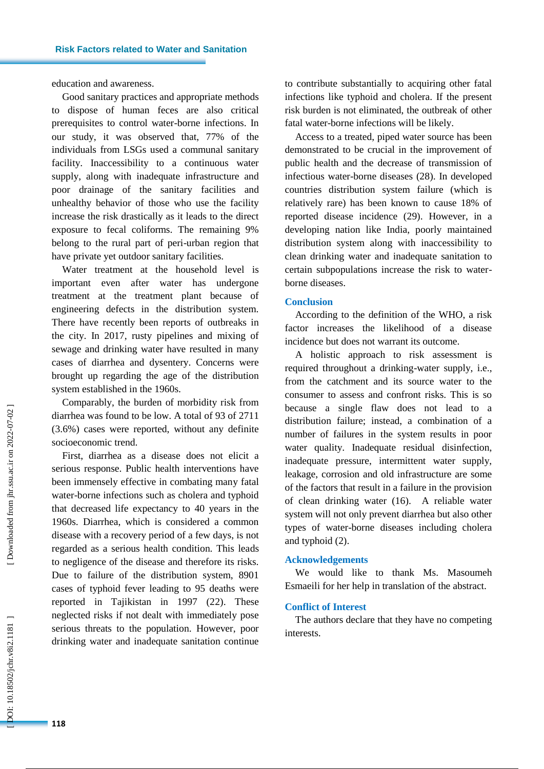education and awareness.

Good sanitary practices and appropriate methods to dispose of human feces are also critical prerequisites to control water -borne infections. In our study, it was observed that, 77% of the individuals from LSGs used a communal sanitary facility. Inaccessibility to a continuous water supply, along with inadequate infrastructure and poor drainage of the sanitary facilities and unhealthy behavior of those who use the facility increase the risk drastically as it leads to the direct exposure to fecal coliforms. The remaining 9% belong to the rural part of peri -urban region that have private yet outdoor sanitary facilities.

Water treatment at the household level is important even after water has undergone treatment at the treatment plant because of engineering defects in the distribution system. There have recently been reports of outbreaks in the city. In 2017, rusty pipelines and mixing of sewage and drinking water have resulted in many cases of diarrhea and dysentery. Concerns were brought up regarding the age of the distribution system established in the 1960s.

Comparably, the burden of morbidity risk from diarrhea was found to be low. A total of 93 of 2711 (3.6%) cases were reported, without any definite socioeconomic trend.

First, diarrhea as a disease does not elicit a serious response. Public health interventions have been immensely effective in combating many fatal water -borne infections such as cholera and typhoid that decreased life expectancy to 40 years in the 1960s. Diarrhea, which is considered a common disease with a recovery period of a few days, is not regarded as a serious health condition. This leads to negligence of the disease and therefore its risks. Due to failure of the distribution system, 8901 cases of typhoid fever leading to 95 deaths were reported in Tajikistan in 1997 (2 2). These neglected risks if not dealt with immediately pose serious threats to the population. However, poor drinking water and inadequate sanitation continue

to contribute substantially to acquiring other fatal infections like typhoid and cholera. If the present risk burden is not eliminated, the outbreak of other fatal water -borne infections will be likely.

Access to a treated, piped water source has been demonstrated to be crucial in the improvement of public health and the decrease of transmission of infectious water -borne diseases (2 8). In developed countries distribution system failure (which is relatively rare) has been known to cause 18% of reported disease incidence (2 9). However, in a developing nation like India, poorly maintained distribution system along with inaccessibility to clean drinking water and inadequate sanitation to certain subpopulations increase the risk to water borne diseases.

#### **Conclusion**

According to the definition of the WHO, a risk factor increases the likelihood of a disease incidence but does not warrant its outcome.

A holistic approach to risk assessment is required throughout a drinking -water supply, i.e., from the catchment and its source water to the consumer to assess and confront risks. This is so because a single flaw does not lead to a distribution failure; instead, a combination of a number of failures in the system results in poor water quality. Inadequate residual disinfection, inadequate pressure, intermittent water supply, leakage, corrosion and old infrastructure are some of the factors that result in a failure in the provision of clean drinking water (1 6). A reliable water system will not only prevent diarrhea but also other types of water -borne diseases including cholera and typhoid ( 2).

# **Acknowledgements**

We would like to thank Ms. Masoumeh Esmaeili for her help in translation of the abstract.

#### **Conflict of Interest**

The authors declare that they have no competing interests.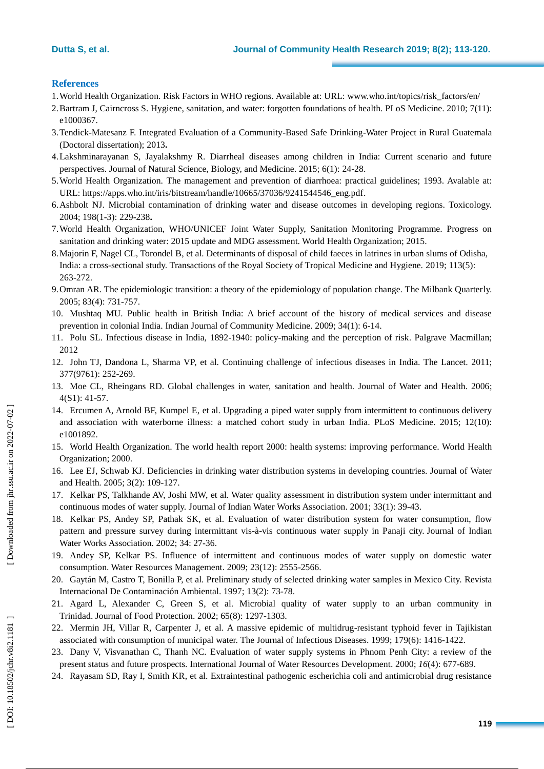# **References**

- 1.World Health Organization. Risk Factors in WHO regions. Available at: URL: www.who.int/topics/risk\_factors/en/
- 2.Bartram J, Cairncross S. Hygiene, sanitation, and water: forgotten foundations of health. PLoS Medicine. 2010; 7(11): e1000367
- 3.Tendick -Matesanz F. Integrated Evaluation of a Community -Based Safe Drinking -Water Project in Rural Guatemala (Doctoral dissertation); 2013 **.**
- 4.Lakshminarayanan S, Jayalakshmy R. Diarrheal diseases among children in India: Current scenario and future perspectives. Journal of Natural Science, Biology, and Medicine. 2015; 6(1): 24-28.
- 5.World Health Organization. The management and prevention of diarrhoea: practical guidelines; 1993. Avalable at: URL: [https://apps.who.int/iris/bitstream/handle/10665/37036/9241544546\\_eng.pdf](https://apps.who.int/iris/bitstream/handle/10665/37036/9241544546_eng.pdf) .
- 6.Ashbolt NJ. Microbial contamination of drinking water and disease outcomes in developing regions. Toxicology. 2004; 198(1 -3): 229 -238 **.**
- 7.World Health Organization, WHO/UNICEF Joint Water Supply, Sanitation Monitoring Programme. Progress on sanitation and drinking water: 2015 update and MDG assessment. World Health Organization; 2015.
- 8.Majorin F, Nagel CL, Torondel B, et al. Determinants of disposal of child faeces in latrines in urban slums of Odisha, India: a cross -sectional study. Transactions of the Royal Society of Tropical Medicine and Hygiene. 2019; 113(5): 263 -272.
- 9.Omran AR. The epidemiologic transition: a theory of the epidemiology of population change. The Milbank Quarterly. 2005; 83(4): 731 -757.
- 10. Mushtaq MU. Public health in British India: A brief account of the history of medical services and disease prevention in colonial India. Indian Journal of Community Medicine. 2009; 34(1): 6-14.
- 11. Polu SL. Infectious disease in India, 1892 -1940: policy -making and the perception of risk. Palgrave Macmillan; 2012
- 12. John TJ, Dandona L, Sharma VP, et al. Continuing challenge of infectious diseases in India. The Lancet. 2011; 377(9761): 252 -269.
- 13. Moe CL, Rheingans RD. Global challenges in water, sanitation and health. Journal of Water and Health. 2006; 4(S1): 41 -57.
- 14. Ercumen A, Arnold BF, Kumpel E, et al . Upgrading a piped water supply from intermittent to continuous delivery and association with waterborne illness: a matched cohort study in urban India. PLoS Medicine. 2015; 12(10): e1001892.
- 15. World Health Organization. The world health report 2000: health systems: improving performance. World Health Organization; 2000.
- 16. Lee E J, Schwab KJ. Deficiencies in drinking water distribution systems in developing countries. Journal of Water and Health. 2005; 3(2): 109 -127.
- 17. Kelkar PS, Talkhande AV, Joshi MW, et al. Water quality assessment in distribution system under intermittant and continuous modes of water supply. Journal of Indian Water Works Association. 2001; 33(1): 39 -43.
- 18. Kelkar PS, Andey S P, Pathak SK, et al. Evaluation of water distribution system for water consumption, flow pattern and pressure survey during intermittant vis-à-vis continuous water supply in Panaji city. Journal of Indian Water Works Association. 2002; 34: 27-36.
- 19. Andey SP, Kelkar PS. Influence of intermittent and continuous modes of water supply on domestic water consumption. Water Resources Management. 2009; 23(12): 2555 -2566.
- 20. Gaytán M, Castro T, Bonilla P, et al. Preliminary study of selected drinking water samples in Mexico City. Revista Internacional De Contaminación Ambiental. 1997; 13(2): 73-78.
- 21. Agard L, Alexander C, Green S, et al. Microbial quality of water supply to an urban community in Trinidad. Journal of Food Protection. 2002; 65(8): 1297 -1303.
- 22. Mermin JH, Villar R, Carpenter J, et al. A massive epidemic of multidrug-resistant typhoid fever in Tajikistan associated with consumption of municipal water. The Journal of Infectious Diseases. 1999; 179(6): 1416 -1422.
- 23. Dany V, Visvanathan C, Thanh NC. Evaluation of water supply systems in Phnom Penh City: a review of the present status and future prospects. International Journal of Water Resources Development. 2000; *16*(4): 677 -689.
- 24. Rayasam SD, Ray I, Smith KR, et al. Extraintestinal pathogenic escherichia coli and antimicrobial drug resistance